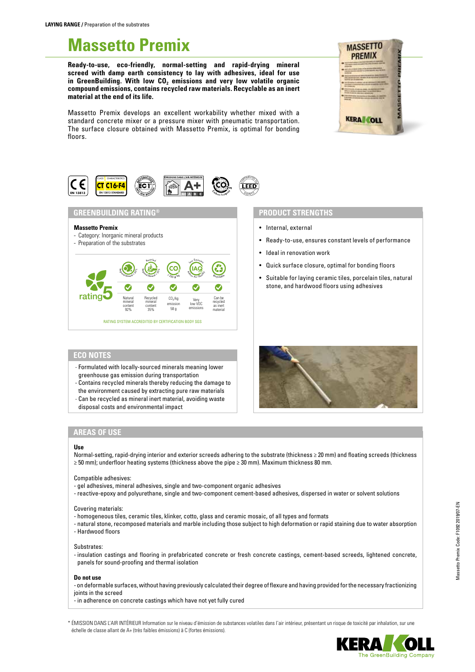# **Massetto Premix**

**Ready-to-use, eco-friendly, normal-setting and rapid-drying mineral screed with damp earth consistency to lay with adhesives, ideal for use**  in GreenBuilding. With low CO<sub>2</sub> emissions and very low volatile organic **compound emissions, contains recycled raw materials. Recyclable as an inert material at the end of its life.**

Massetto Premix develops an excellent workability whether mixed with a standard concrete mixer or a pressure mixer with pneumatic transportation. The surface closure obtained with Massetto Premix, is optimal for bonding floors.



# **GREENBUILDING RATING®**

# **Massetto Premix**

- Category: Inorganic mineral products
- Preparation of the substrates



# **PRODUCT STRENGTHS**

- Internal, external
- Ready-to-use, ensures constant levels of performance
- Ideal in renovation work
- Quick surface closure, optimal for bonding floors
- Suitable for laying ceramic tiles, porcelain tiles, natural stone, and hardwood floors using adhesives

# **ECO NOTES**

- Formulated with locally-sourced minerals meaning lower greenhouse gas emission during transportation
- Contains recycled minerals thereby reducing the damage to
- the environment caused by extracting pure raw materials
- Can be recycled as mineral inert material, avoiding waste disposal costs and environmental impact

- 
- 
- 
- 



# **AREAS OF USE**

### **Use**

Normal-setting, rapid-drying interior and exterior screeds adhering to the substrate (thickness ≥ 20 mm) and floating screeds (thickness ≥ 50 mm); underfloor heating systems (thickness above the pipe ≥ 30 mm). Maximum thickness 80 mm.

Compatible adhesives:

- gel adhesives, mineral adhesives, single and two-component organic adhesives
- reactive-epoxy and polyurethane, single and two-component cement-based adhesives, dispersed in water or solvent solutions

#### Covering materials:

- homogeneous tiles, ceramic tiles, klinker, cotto, glass and ceramic mosaic, of all types and formats
- natural stone, recomposed materials and marble including those subject to high deformation or rapid staining due to water absorption - Hardwood floors

Substrates:

- insulation castings and flooring in prefabricated concrete or fresh concrete castings, cement-based screeds, lightened concrete, panels for sound-proofing and thermal isolation

#### **Do not use**

- on deformable surfaces, without having previously calculated their degree of flexure and having provided for the necessary fractionizing joints in the screed

- in adherence on concrete castings which have not yet fully cured

\* ÉMISSION DANS L'AIR INTÉRIEUR Information sur le niveau d'émission de substances volatiles dans l'air intérieur, présentant un risque de toxicité par inhalation, sur une échelle de classe allant de A+ (très faibles émissions) à C (fortes émissions).



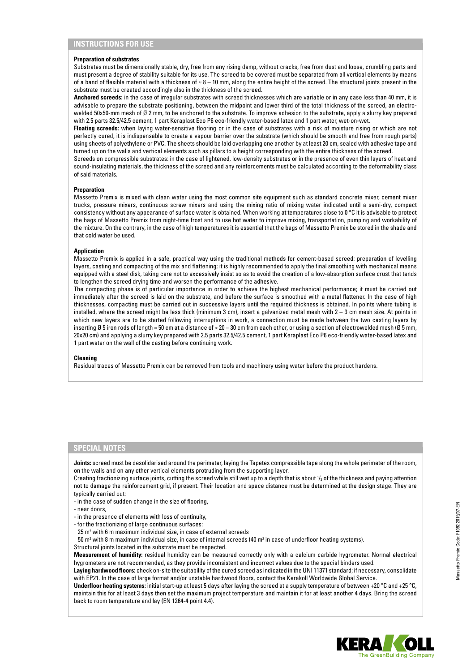#### **Preparation of substrates**

Substrates must be dimensionally stable, dry, free from any rising damp, without cracks, free from dust and loose, crumbling parts and must present a degree of stability suitable for its use. The screed to be covered must be separated from all vertical elements by means of a band of flexible material with a thickness of  $\approx 8 - 10$  mm, along the entire height of the screed. The structural joints present in the substrate must be created accordingly also in the thickness of the screed.

**Anchored screeds:** in the case of irregular substrates with screed thicknesses which are variable or in any case less than 40 mm, it is advisable to prepare the substrate positioning, between the midpoint and lower third of the total thickness of the screed, an electrowelded 50x50-mm mesh of Ø 2 mm, to be anchored to the substrate. To improve adhesion to the substrate, apply a slurry key prepared with 2.5 parts 32.5/42.5 cement, 1 part Keraplast Eco P6 eco-friendly water-based latex and 1 part water, wet-on-wet.

**Floating screeds:** when laying water-sensitive flooring or in the case of substrates with a risk of moisture rising or which are not perfectly cured, it is indispensable to create a vapour barrier over the substrate (which should be smooth and free from rough parts) using sheets of polyethylene or PVC. The sheets should be laid overlapping one another by at least 20 cm, sealed with adhesive tape and turned up on the walls and vertical elements such as pillars to a height corresponding with the entire thickness of the screed.

Screeds on compressible substrates: in the case of lightened, low-density substrates or in the presence of even thin layers of heat and sound-insulating materials, the thickness of the screed and any reinforcements must be calculated according to the deformability class of said materials.

#### **Preparation**

Massetto Premix is mixed with clean water using the most common site equipment such as standard concrete mixer, cement mixer trucks, pressure mixers, continuous screw mixers and using the mixing ratio of mixing water indicated until a semi-dry, compact consistency without any appearance of surface water is obtained. When working at temperatures close to 0 °C it is advisable to protect the bags of Massetto Premix from night-time frost and to use hot water to improve mixing, transportation, pumping and workability of the mixture. On the contrary, in the case of high temperatures it is essential that the bags of Massetto Premix be stored in the shade and that cold water be used.

#### **Application**

Massetto Premix is applied in a safe, practical way using the traditional methods for cement-based screed: preparation of levelling layers, casting and compacting of the mix and flattening; it is highly recommended to apply the final smoothing with mechanical means equipped with a steel disk, taking care not to excessively insist so as to avoid the creation of a low-absorption surface crust that tends to lengthen the screed drying time and worsen the performance of the adhesive.

The compacting phase is of particular importance in order to achieve the highest mechanical performance; it must be carried out immediately after the screed is laid on the substrate, and before the surface is smoothed with a metal flattener. In the case of high thicknesses, compacting must be carried out in successive layers until the required thickness is obtained. In points where tubing is installed, where the screed might be less thick (minimum 3 cm), insert a galvanized metal mesh with 2 – 3 cm mesh size. At points in which new layers are to be started following interruptions in work, a connection must be made between the two casting layers by inserting Ø 5 iron rods of length ≈ 50 cm at a distance of ≈ 20 – 30 cm from each other, or using a section of electrowelded mesh (Ø 5 mm, 20x20 cm) and applying a slurry key prepared with 2.5 parts 32.5/42.5 cement, 1 part Keraplast Eco P6 eco-friendly water-based latex and 1 part water on the wall of the casting before continuing work.

#### **Cleaning**

Residual traces of Massetto Premix can be removed from tools and machinery using water before the product hardens.

### **SPECIAL NOTES**

**Joints:** screed must be desolidarised around the perimeter, laying the Tapetex compressible tape along the whole perimeter of the room, on the walls and on any other vertical elements protruding from the supporting layer.

Creating fractionizing surface joints, cutting the screed while still wet up to a depth that is about  $V_3$  of the thickness and paying attention not to damage the reinforcement grid, if present. Their location and space distance must be determined at the design stage. They are typically carried out:

- in the case of sudden change in the size of flooring,
- near doors,
- in the presence of elements with loss of continuity,
- for the fractionizing of large continuous surfaces:
- 25 m2 with 6 m maximum individual size, in case of external screeds
- 50 m2 with 8 m maximum individual size, in case of internal screeds (40 m2 in case of underfloor heating systems).

Structural joints located in the substrate must be respected.

**Measurement of humidity:** residual humidity can be measured correctly only with a calcium carbide hygrometer. Normal electrical hygrometers are not recommended, as they provide inconsistent and incorrect values due to the special binders used.

**Laying hardwood floors:** check on-site the suitability of the cured screed as indicated in the UNI 11371 standard; if necessary, consolidate with EP21. In the case of large format and/or unstable hardwood floors, contact the Kerakoll Worldwide Global Service.

**Underfloor heating systems:** initial start-up at least 5 days after laying the screed at a supply temperature of between +20 °C and +25 °C, maintain this for at least 3 days then set the maximum project temperature and maintain it for at least another 4 days. Bring the screed back to room temperature and lay (EN 1264-4 point 4.4).